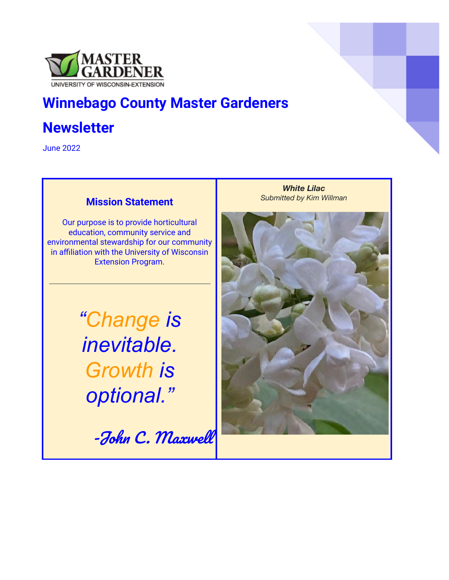

# **Winnebago County Master Gardeners**

# **Newsletter**

June 2022

#### **Mission Statement**

Our purpose is to provide horticultural education, community service and environmental stewardship for our community in affiliation with the University of Wisconsin Extension Program.

> *"Change is inevitable. Growth is optional."*

> > -John C. Maxwell

*White Lilac Submitted by Kim Willman*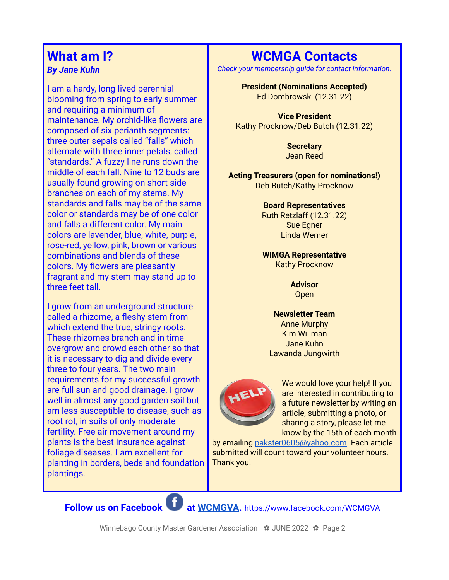### **What am I?** *By Jane Kuhn*

I am a hardy, long-lived perennial blooming from spring to early summer and requiring a minimum of maintenance. My orchid-like flowers are composed of six perianth segments: three outer sepals called "falls" which alternate with three inner petals, called "standards." A fuzzy line runs down the middle of each fall. Nine to 12 buds are usually found growing on short side branches on each of my stems. My standards and falls may be of the same color or standards may be of one color and falls a different color. My main colors are lavender, blue, white, purple, rose-red, yellow, pink, brown or various combinations and blends of these colors. My flowers are pleasantly fragrant and my stem may stand up to three feet tall.

I grow from an underground structure called a rhizome, a fleshy stem from which extend the true, stringy roots. These rhizomes branch and in time overgrow and crowd each other so that it is necessary to dig and divide every three to four years. The two main requirements for my successful growth are full sun and good drainage. I grow well in almost any good garden soil but am less susceptible to disease, such as root rot, in soils of only moderate fertility. Free air movement around my plants is the best insurance against foliage diseases. I am excellent for planting in borders, beds and foundation plantings.

## **WCMGA Contacts**

*Check your membership guide for contact information.*

#### **President (Nominations Accepted)**

Ed Dombrowski (12.31.22)

**Vice President** Kathy Procknow/Deb Butch (12.31.22)

> **Secretary** Jean Reed

**Acting Treasurers (open for nominations!)** Deb Butch/Kathy Procknow

> **Board Representatives** Ruth Retzlaff (12.31.22) Sue Egner Linda Werner

> **WIMGA Representative** Kathy Procknow

> > **Advisor Open**

**Newsletter Team** Anne Murphy Kim Willman Jane Kuhn Lawanda Jungwirth



We would love your help! If you are interested in contributing to a future newsletter by writing an article, submitting a photo, or sharing a story, please let me know by the 15th of each month

by emailing [pakster0605@yahoo.com.](mailto:pakster0605@yahoo.com) Each article submitted will count toward your volunteer hours. Thank you!

**Follow us on Facebook at [WCMGVA](https://www.facebook.com/WCMGVA).** https://www.facebook.com/WCMGVA

Winnebago County Master Gardener Association ✿ JUNE 2022 ✿ Page 2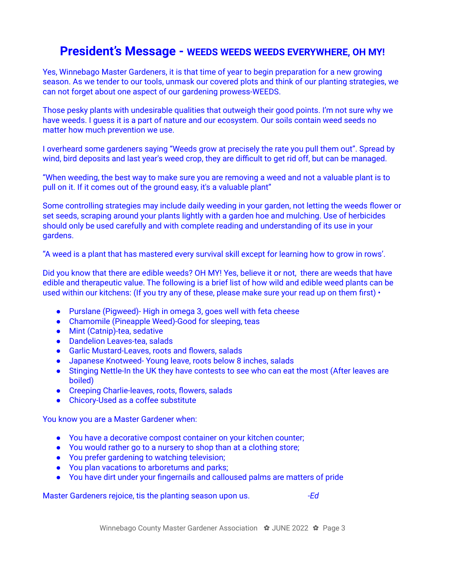## **President's Message - WEEDS WEEDS WEEDS EVERYWHERE, OH MY!**

Yes, Winnebago Master Gardeners, it is that time of year to begin preparation for a new growing season. As we tender to our tools, unmask our covered plots and think of our planting strategies, we can not forget about one aspect of our gardening prowess-WEEDS.

Those pesky plants with undesirable qualities that outweigh their good points. I'm not sure why we have weeds. I guess it is a part of nature and our ecosystem. Our soils contain weed seeds no matter how much prevention we use.

I overheard some gardeners saying "Weeds grow at precisely the rate you pull them out". Spread by wind, bird deposits and last year's weed crop, they are difficult to get rid off, but can be managed.

"When weeding, the best way to make sure you are removing a weed and not a valuable plant is to pull on it. If it comes out of the ground easy, it's a valuable plant"

Some controlling strategies may include daily weeding in your garden, not letting the weeds flower or set seeds, scraping around your plants lightly with a garden hoe and mulching. Use of herbicides should only be used carefully and with complete reading and understanding of its use in your gardens.

"A weed is a plant that has mastered every survival skill except for learning how to grow in rows'.

Did you know that there are edible weeds? OH MY! Yes, believe it or not, there are weeds that have edible and therapeutic value. The following is a brief list of how wild and edible weed plants can be used within our kitchens: (If you try any of these, please make sure your read up on them first)  $\cdot$ 

- Purslane (Pigweed)- High in omega 3, goes well with feta cheese
- Chamomile (Pineapple Weed)-Good for sleeping, teas
- Mint (Catnip)-tea, sedative
- Dandelion Leaves-tea, salads
- Garlic Mustard-Leaves, roots and flowers, salads
- Japanese Knotweed- Young leave, roots below 8 inches, salads
- Stinging Nettle-In the UK they have contests to see who can eat the most (After leaves are boiled)
- Creeping Charlie-leaves, roots, flowers, salads
- Chicory-Used as a coffee substitute

You know you are a Master Gardener when:

- You have a decorative compost container on your kitchen counter;
- You would rather go to a nursery to shop than at a clothing store;
- You prefer gardening to watching television;
- You plan vacations to arboretums and parks;
- You have dirt under your fingernails and calloused palms are matters of pride

Master Gardeners rejoice, tis the planting season upon us. *-Ed*

Winnebago County Master Gardener Association ✿ JUNE 2022 ✿ Page 3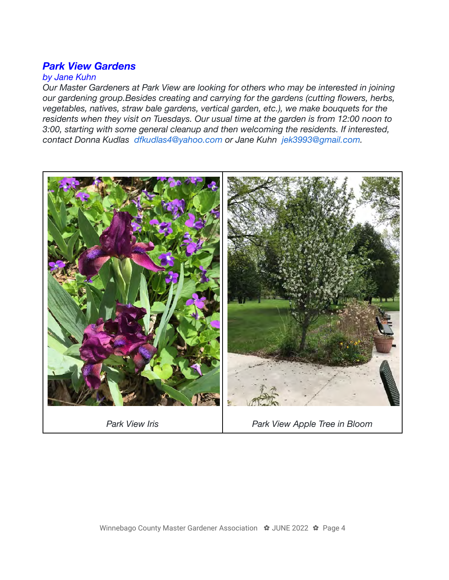### *Park View Gardens*

#### *by Jane Kuhn*

*Our Master Gardeners at Park View are looking for others who may be interested in joining our gardening group.Besides creating and carrying for the gardens (cutting flowers, herbs, vegetables, natives, straw bale gardens, vertical garden, etc.), we make bouquets for the residents when they visit on Tuesdays. Our usual time at the garden is from 12:00 noon to 3:00, starting with some general cleanup and then welcoming the residents. If interested, contact Donna Kudlas dfkudlas4@yahoo.com or Jane Kuhn jek3993@gmail.com.*

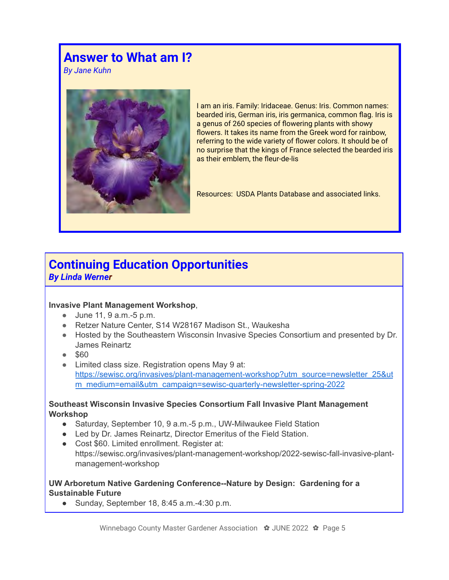# **Answer to What am I?**

*By Jane Kuhn*



I am an iris. Family: Iridaceae. Genus: Iris. Common names: bearded iris, German iris, iris germanica, common flag. Iris is a genus of 260 species of flowering plants with showy flowers. It takes its name from the Greek word for rainbow, referring to the wide variety of flower colors. It should be of no surprise that the kings of France selected the bearded iris as their emblem, the fleur-de-lis

Resources: USDA Plants Database and associated links.

# **Continuing Education Opportunities**

*By Linda Werner*

#### **Invasive Plant Management Workshop**,

- June 11, 9 a.m.-5 p.m.
- Retzer Nature Center, S14 W28167 Madison St., Waukesha
- Hosted by the Southeastern Wisconsin Invasive Species Consortium and presented by Dr. James Reinartz
- \$60
- Limited class size. Registration opens May 9 at: [https://sewisc.org/invasives/plant-management-workshop?utm\\_source=newsletter\\_25&ut](https://sewisc.org/invasives/plant-management-workshop?utm_source=newsletter_25&utm_medium=email&utm_campaign=sewisc-quarterly-newsletter-spring-2022) [m\\_medium=email&utm\\_campaign=sewisc-quarterly-newsletter-spring-2022](https://sewisc.org/invasives/plant-management-workshop?utm_source=newsletter_25&utm_medium=email&utm_campaign=sewisc-quarterly-newsletter-spring-2022)

#### **Southeast Wisconsin Invasive Species Consortium Fall Invasive Plant Management Workshop**

- Saturday, September 10, 9 a.m.-5 p.m., UW-Milwaukee Field Station
- Led by Dr. James Reinartz, Director Emeritus of the Field Station.
- Cost \$60. Limited enrollment. Register at:
- https://sewisc.org/invasives/plant-management-workshop/2022-sewisc-fall-invasive-plantmanagement-workshop

#### **UW Arboretum Native Gardening Conference--Nature by Design: Gardening for a Sustainable Future**

● Sunday, September 18, 8:45 a.m.-4:30 p.m.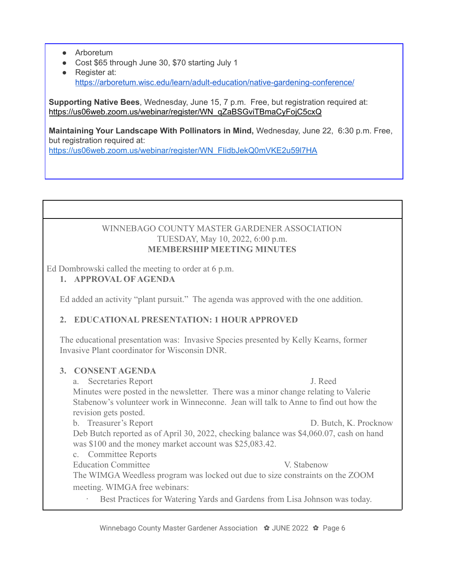- Arboretum
- Cost \$65 through June 30, \$70 starting July 1
- Register at: <https://arboretum.wisc.edu/learn/adult-education/native-gardening-conference/>

**Supporting Native Bees**, Wednesday, June 15, 7 p.m. Free, but registration required at: [https://us06web.zoom.us/webinar/register/WN\\_qZaBSGviTBmaCyFojC5cxQ](https://us06web.zoom.us/webinar/register/WN_qZaBSGviTBmaCyFojC5cxQ)

**Maintaining Your Landscape With Pollinators in Mind,** Wednesday, June 22, 6:30 p.m. Free, but registration required at:

[https://us06web.zoom.us/webinar/register/WN\\_FIidbJekQ0mVKE2u59l7HA](https://us06web.zoom.us/webinar/register/WN_FIidbJekQ0mVKE2u59l7HA)

#### WINNEBAGO COUNTY MASTER GARDENER ASSOCIATION TUESDAY, May 10, 2022, 6:00 p.m. **MEMBERSHIP MEETING MINUTES**

Ed Dombrowski called the meeting to order at 6 p.m.

**1. APPROVAL OF AGENDA**

Ed added an activity "plant pursuit." The agenda was approved with the one addition.

#### **2. EDUCATIONAL PRESENTATION: 1 HOUR APPROVED**

The educational presentation was: Invasive Species presented by Kelly Kearns, former Invasive Plant coordinator for Wisconsin DNR.

#### **3. CONSENT AGENDA**

a. Secretaries Report J. Reed Minutes were posted in the newsletter. There was a minor change relating to Valerie Stabenow's volunteer work in Winneconne. Jean will talk to Anne to find out how the revision gets posted.

b. Treasurer's Report D. Butch, K. Procknow Deb Butch reported as of April 30, 2022, checking balance was \$4,060.07, cash on hand was \$100 and the money market account was \$25,083.42.

- c. Committee Reports
- Education Committee **V. Stabenow** V. Stabenow

The WIMGA Weedless program was locked out due to size constraints on the ZOOM meeting. WIMGA free webinars:

Best Practices for Watering Yards and Gardens from Lisa Johnson was today.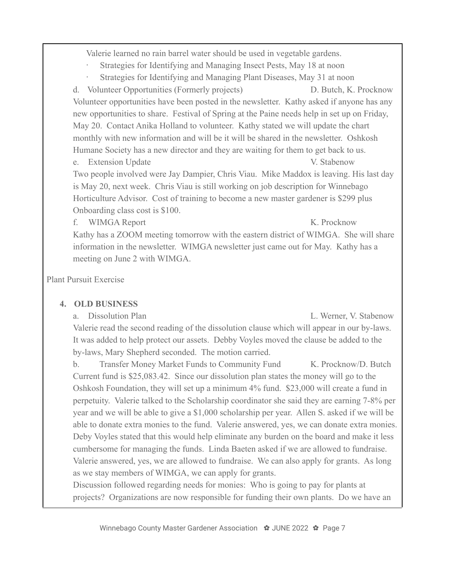Valerie learned no rain barrel water should be used in vegetable gardens.

- Strategies for Identifying and Managing Insect Pests, May 18 at noon
- Strategies for Identifying and Managing Plant Diseases, May 31 at noon

d. Volunteer Opportunities (Formerly projects) D. Butch, K. Procknow Volunteer opportunities have been posted in the newsletter. Kathy asked if anyone has any new opportunities to share. Festival of Spring at the Paine needs help in set up on Friday, May 20. Contact Anika Holland to volunteer. Kathy stated we will update the chart monthly with new information and will be it will be shared in the newsletter. Oshkosh Humane Society has a new director and they are waiting for them to get back to us.

e. Extension Update V. Stabenow

Two people involved were Jay Dampier, Chris Viau. Mike Maddox is leaving. His last day is May 20, next week. Chris Viau is still working on job description for Winnebago Horticulture Advisor. Cost of training to become a new master gardener is \$299 plus Onboarding class cost is \$100.

f. WIMGA Report K. Procknow

Kathy has a ZOOM meeting tomorrow with the eastern district of WIMGA. She will share information in the newsletter. WIMGA newsletter just came out for May. Kathy has a meeting on June 2 with WIMGA.

Plant Pursuit Exercise

#### **4. OLD BUSINESS**

a. Dissolution Plan L. Werner, V. Stabenow Valerie read the second reading of the dissolution clause which will appear in our by-laws. It was added to help protect our assets. Debby Voyles moved the clause be added to the by-laws, Mary Shepherd seconded. The motion carried.

b. Transfer Money Market Funds to Community Fund K. Procknow/D. Butch Current fund is \$25,083.42. Since our dissolution plan states the money will go to the Oshkosh Foundation, they will set up a minimum 4% fund. \$23,000 will create a fund in perpetuity. Valerie talked to the Scholarship coordinator she said they are earning 7-8% per year and we will be able to give a \$1,000 scholarship per year. Allen S. asked if we will be able to donate extra monies to the fund. Valerie answered, yes, we can donate extra monies. Deby Voyles stated that this would help eliminate any burden on the board and make it less cumbersome for managing the funds. Linda Baeten asked if we are allowed to fundraise. Valerie answered, yes, we are allowed to fundraise. We can also apply for grants. As long as we stay members of WIMGA, we can apply for grants.

Discussion followed regarding needs for monies: Who is going to pay for plants at projects? Organizations are now responsible for funding their own plants. Do we have an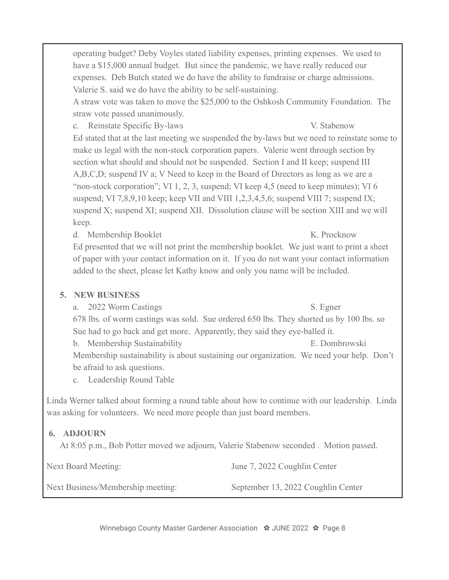operating budget? Deby Voyles stated liability expenses, printing expenses. We used to have a \$15,000 annual budget. But since the pandemic, we have really reduced our expenses. Deb Butch stated we do have the ability to fundraise or charge admissions. Valerie S. said we do have the ability to be self-sustaining.

A straw vote was taken to move the \$25,000 to the Oshkosh Community Foundation. The straw vote passed unanimously.

c. Reinstate Specific By-laws V. Stabenow

Ed stated that at the last meeting we suspended the by-laws but we need to reinstate some to make us legal with the non-stock corporation papers. Valerie went through section by section what should and should not be suspended. Section I and II keep; suspend III A,B,C,D; suspend IV a; V Need to keep in the Board of Directors as long as we are a "non-stock corporation"; VI 1, 2, 3, suspend; VI keep 4,5 (need to keep minutes); VI 6 suspend; VI 7,8,9,10 keep; keep VII and VIII 1,2,3,4,5,6; suspend VIII 7; suspend IX; suspend X; suspend XI; suspend XII. Dissolution clause will be section XIII and we will keep.

d. Membership Booklet K. Procknow

Ed presented that we will not print the membership booklet. We just want to print a sheet of paper with your contact information on it. If you do not want your contact information added to the sheet, please let Kathy know and only you name will be included.

#### **5. NEW BUSINESS**

- a. 2022 Worm Castings S. Egner
	-

678 lbs. of worm castings was sold. Sue ordered 650 lbs. They shorted us by 100 lbs. so Sue had to go back and get more. Apparently, they said they eye-balled it.

b. Membership Sustainability E. Dombrowski Membership sustainability is about sustaining our organization. We need your help. Don't be afraid to ask questions.

c. Leadership Round Table

Linda Werner talked about forming a round table about how to continue with our leadership. Linda was asking for volunteers. We need more people than just board members.

#### **6. ADJOURN**

At 8:05 p.m., Bob Potter moved we adjourn, Valerie Stabenow seconded . Motion passed.

Next Board Meeting: June 7, 2022 Coughlin Center

Next Business/Membership meeting: September 13, 2022 Coughlin Center

Winnebago County Master Gardener Association ✿ JUNE 2022 ✿ Page 8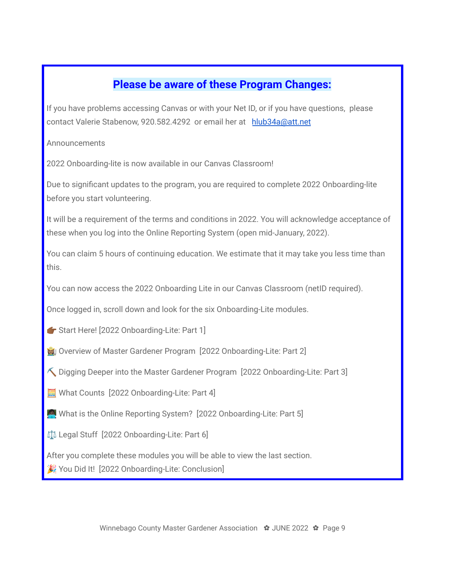## **Please be aware of these Program Changes:**

If you have problems accessing Canvas or with your Net ID, or if you have questions, please contact Valerie Stabenow, 920.582.4292 or email her at [hlub34a@att.net](mailto:hlub34a@att.net)

Announcements

2022 Onboarding-lite is now available in our Canvas Classroom!

Due to significant updates to the program, you are required to complete 2022 Onboarding-lite before you start volunteering.

It will be a requirement of the terms and conditions in 2022. You will acknowledge acceptance of these when you log into the Online Reporting System (open mid-January, 2022).

You can claim 5 hours of continuing education. We estimate that it may take you less time than this.

You can now access the 2022 Onboarding Lite in our Canvas Classroom (netID required).

Once logged in, scroll down and look for the six Onboarding-Lite modules.

Start Here! [2022 Onboarding-Lite: Part 1]

Overview of Master Gardener Program [2022 Onboarding-Lite: Part 2]

 $\leq$  Digging Deeper into the Master Gardener Program [2022 Onboarding-Lite: Part 3]

What Counts [2022 Onboarding-Lite: Part 4]

What is the Online Reporting System? [2022 Onboarding-Lite: Part 5]

⚖️ Legal Stuff [2022 Onboarding-Lite: Part 6]

After you complete these modules you will be able to view the last section. You Did It! [2022 Onboarding-Lite: Conclusion]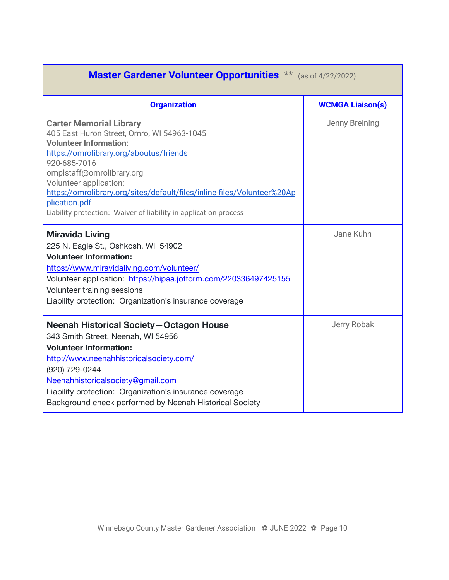| Master Gardener Volunteer Opportunities ** (as of 4/22/2022)                                                                                                                                                                                                                                                                                                                                    |                         |  |  |  |  |
|-------------------------------------------------------------------------------------------------------------------------------------------------------------------------------------------------------------------------------------------------------------------------------------------------------------------------------------------------------------------------------------------------|-------------------------|--|--|--|--|
| <b>Organization</b>                                                                                                                                                                                                                                                                                                                                                                             | <b>WCMGA Liaison(s)</b> |  |  |  |  |
| <b>Carter Memorial Library</b><br>405 East Huron Street, Omro, WI 54963-1045<br><b>Volunteer Information:</b><br>https://omrolibrary.org/aboutus/friends<br>920-685-7016<br>omplstaff@omrolibrary.org<br>Volunteer application:<br>https://omrolibrary.org/sites/default/files/inline-files/Volunteer%20Ap<br>plication.pdf<br>Liability protection: Waiver of liability in application process | Jenny Breining          |  |  |  |  |
| <b>Miravida Living</b><br>225 N. Eagle St., Oshkosh, WI 54902<br><b>Volunteer Information:</b><br>https://www.miravidaliving.com/volunteer/<br>Volunteer application: https://hipaa.jotform.com/220336497425155<br>Volunteer training sessions<br>Liability protection: Organization's insurance coverage                                                                                       | Jane Kuhn               |  |  |  |  |
| <b>Neenah Historical Society-Octagon House</b><br>343 Smith Street, Neenah, WI 54956<br><b>Volunteer Information:</b><br>http://www.neenahhistoricalsociety.com/<br>(920) 729-0244<br>Neenahhistoricalsociety@gmail.com<br>Liability protection: Organization's insurance coverage<br>Background check performed by Neenah Historical Society                                                   | Jerry Robak             |  |  |  |  |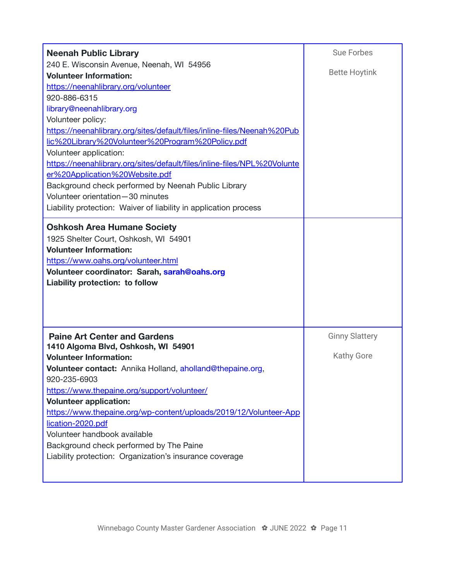| <b>Neenah Public Library</b>                                                                                                                                                                                                                                                                                                                                                                                                                                                                                                                                                                                              | <b>Sue Forbes</b>                          |
|---------------------------------------------------------------------------------------------------------------------------------------------------------------------------------------------------------------------------------------------------------------------------------------------------------------------------------------------------------------------------------------------------------------------------------------------------------------------------------------------------------------------------------------------------------------------------------------------------------------------------|--------------------------------------------|
| 240 E. Wisconsin Avenue, Neenah, WI 54956<br><b>Volunteer Information:</b><br>https://neenahlibrary.org/volunteer<br>920-886-6315<br>library@neenahlibrary.org<br>Volunteer policy:<br>https://neenahlibrary.org/sites/default/files/inline-files/Neenah%20Pub<br>lic%20Library%20Volunteer%20Program%20Policy.pdf<br>Volunteer application:<br>https://neenahlibrary.org/sites/default/files/inline-files/NPL%20Volunte<br>er%20Application%20Website.pdf<br>Background check performed by Neenah Public Library<br>Volunteer orientation-30 minutes<br>Liability protection: Waiver of liability in application process | <b>Bette Hoytink</b>                       |
| <b>Oshkosh Area Humane Society</b><br>1925 Shelter Court, Oshkosh, WI 54901<br><b>Volunteer Information:</b><br>https://www.oahs.org/volunteer.html<br>Volunteer coordinator: Sarah, sarah@oahs.org<br>Liability protection: to follow                                                                                                                                                                                                                                                                                                                                                                                    |                                            |
| <b>Paine Art Center and Gardens</b><br>1410 Algoma Blvd, Oshkosh, WI 54901<br><b>Volunteer Information:</b><br>Volunteer contact: Annika Holland, aholland@thepaine.org,<br>920-235-6903<br>https://www.thepaine.org/support/volunteer/<br><b>Volunteer application:</b><br>https://www.thepaine.org/wp-content/uploads/2019/12/Volunteer-App<br>lication-2020.pdf<br>Volunteer handbook available<br>Background check performed by The Paine<br>Liability protection: Organization's insurance coverage                                                                                                                  | <b>Ginny Slattery</b><br><b>Kathy Gore</b> |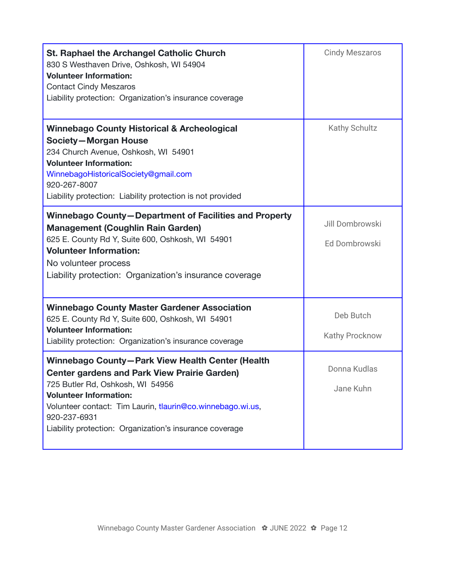| <b>St. Raphael the Archangel Catholic Church</b><br>830 S Westhaven Drive, Oshkosh, WI 54904<br><b>Volunteer Information:</b><br><b>Contact Cindy Meszaros</b><br>Liability protection: Organization's insurance coverage                                                                                             | <b>Cindy Meszaros</b>            |
|-----------------------------------------------------------------------------------------------------------------------------------------------------------------------------------------------------------------------------------------------------------------------------------------------------------------------|----------------------------------|
| <b>Winnebago County Historical &amp; Archeological</b><br><b>Society-Morgan House</b><br>234 Church Avenue, Oshkosh, WI 54901<br><b>Volunteer Information:</b><br>WinnebagoHistoricalSociety@gmail.com<br>920-267-8007<br>Liability protection: Liability protection is not provided                                  | Kathy Schultz                    |
| Winnebago County-Department of Facilities and Property<br><b>Management (Coughlin Rain Garden)</b><br>625 E. County Rd Y, Suite 600, Oshkosh, WI 54901<br><b>Volunteer Information:</b><br>No volunteer process<br>Liability protection: Organization's insurance coverage                                            | Jill Dombrowski<br>Ed Dombrowski |
| <b>Winnebago County Master Gardener Association</b><br>625 E. County Rd Y, Suite 600, Oshkosh, WI 54901<br><b>Volunteer Information:</b><br>Liability protection: Organization's insurance coverage                                                                                                                   | Deb Butch<br>Kathy Procknow      |
| Winnebago County-Park View Health Center (Health<br><b>Center gardens and Park View Prairie Garden)</b><br>725 Butler Rd, Oshkosh, WI 54956<br><b>Volunteer Information:</b><br>Volunteer contact: Tim Laurin, tlaurin@co.winnebago.wi.us,<br>920-237-6931<br>Liability protection: Organization's insurance coverage | Donna Kudlas<br>Jane Kuhn        |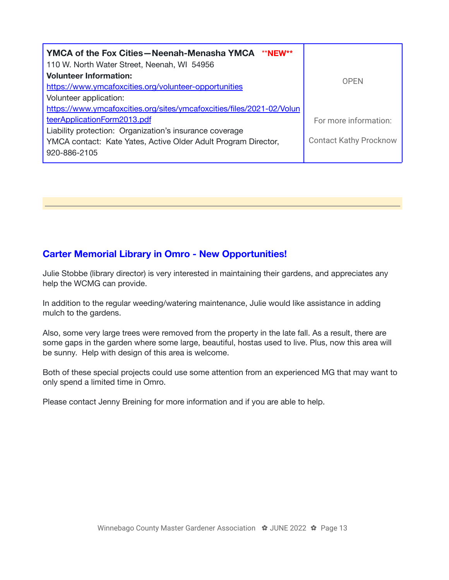| YMCA of the Fox Cities - Neenah-Menasha YMCA **NEW**<br>110 W. North Water Street, Neenah, WI 54956 |                               |  |
|-----------------------------------------------------------------------------------------------------|-------------------------------|--|
| <b>Volunteer Information:</b>                                                                       | <b>OPFN</b>                   |  |
| https://www.ymcafoxcities.org/volunteer-opportunities                                               |                               |  |
| Volunteer application:                                                                              |                               |  |
| https://www.ymcafoxcities.org/sites/ymcafoxcities/files/2021-02/Volun                               |                               |  |
| teerApplicationForm2013.pdf                                                                         | For more information:         |  |
| Liability protection: Organization's insurance coverage                                             |                               |  |
| YMCA contact: Kate Yates, Active Older Adult Program Director,                                      | <b>Contact Kathy Procknow</b> |  |
| 920-886-2105                                                                                        |                               |  |

#### **Carter Memorial Library in Omro - New Opportunities!**

Julie Stobbe (library director) is very interested in maintaining their gardens, and appreciates any help the WCMG can provide.

In addition to the regular weeding/watering maintenance, Julie would like assistance in adding mulch to the gardens.

Also, some very large trees were removed from the property in the late fall. As a result, there are some gaps in the garden where some large, beautiful, hostas used to live. Plus, now this area will be sunny. Help with design of this area is welcome.

Both of these special projects could use some attention from an experienced MG that may want to only spend a limited time in Omro.

Please contact Jenny Breining for more information and if you are able to help.